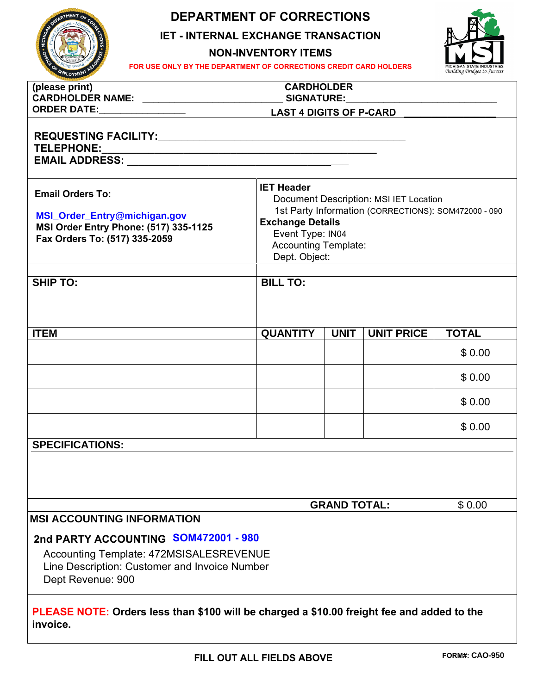

## **DEPARTMENT OF CORRECTIONS**

**IET - INTERNAL EXCHANGE TRANSACTION** 

**NON-INVENTORY ITEMS**



| FOR USE ONLY BY THE DEPARTMENT OF CORRECTIONS CREDIT CARD HOLDERS<br>PLOYMEN'                                                                         |                                                                                                                                                                                                                    |                     |                   | MICHIGAN STATE INDUSTRIES<br>Building Bridges to Success |  |
|-------------------------------------------------------------------------------------------------------------------------------------------------------|--------------------------------------------------------------------------------------------------------------------------------------------------------------------------------------------------------------------|---------------------|-------------------|----------------------------------------------------------|--|
| (please print)                                                                                                                                        | <b>CARDHOLDER</b>                                                                                                                                                                                                  |                     |                   |                                                          |  |
|                                                                                                                                                       |                                                                                                                                                                                                                    |                     |                   |                                                          |  |
| <b>TELEPHONE:</b>                                                                                                                                     |                                                                                                                                                                                                                    |                     |                   |                                                          |  |
| <b>Email Orders To:</b><br>MSI_Order_Entry@michigan.gov<br><b>MSI Order Entry Phone: (517) 335-1125</b><br>Fax Orders To: (517) 335-2059              | <b>IET Header</b><br>Document Description: MSI IET Location<br>1st Party Information (CORRECTIONS): SOM472000 - 090<br><b>Exchange Details</b><br>Event Type: IN04<br><b>Accounting Template:</b><br>Dept. Object: |                     |                   |                                                          |  |
| <b>SHIP TO:</b>                                                                                                                                       | <b>BILL TO:</b>                                                                                                                                                                                                    |                     |                   |                                                          |  |
| <b>ITEM</b>                                                                                                                                           | <b>QUANTITY</b>                                                                                                                                                                                                    | <b>UNIT</b>         | <b>UNIT PRICE</b> | <b>TOTAL</b>                                             |  |
|                                                                                                                                                       |                                                                                                                                                                                                                    |                     |                   | \$0.00                                                   |  |
|                                                                                                                                                       |                                                                                                                                                                                                                    |                     |                   | \$0.00                                                   |  |
|                                                                                                                                                       |                                                                                                                                                                                                                    |                     |                   | \$0.00                                                   |  |
|                                                                                                                                                       |                                                                                                                                                                                                                    |                     |                   | \$0.00                                                   |  |
| <b>SPECIFICATIONS:</b>                                                                                                                                |                                                                                                                                                                                                                    |                     |                   |                                                          |  |
|                                                                                                                                                       |                                                                                                                                                                                                                    | <b>GRAND TOTAL:</b> |                   | \$0.00                                                   |  |
| <b>MSI ACCOUNTING INFORMATION</b>                                                                                                                     |                                                                                                                                                                                                                    |                     |                   |                                                          |  |
| 2nd PARTY ACCOUNTING SOM472001 - 980<br>Accounting Template: 472MSISALESREVENUE<br>Line Description: Customer and Invoice Number<br>Dept Revenue: 900 |                                                                                                                                                                                                                    |                     |                   |                                                          |  |

**PLEASE NOTE: Orders less than \$100 will be charged a \$10.00 freight fee and added to the invoice.**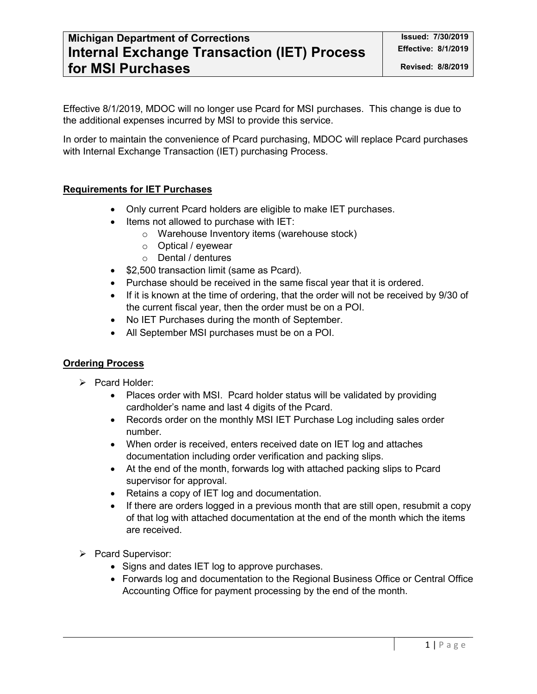## **Michigan Department of Corrections Intervalse and Issued: 7/30/2019 Internal Exchange Transaction (IET) Process for MSI Purchases**

Effective 8/1/2019, MDOC will no longer use Pcard for MSI purchases. This change is due to the additional expenses incurred by MSI to provide this service.

In order to maintain the convenience of Pcard purchasing, MDOC will replace Pcard purchases with Internal Exchange Transaction (IET) purchasing Process.

### **Requirements for IET Purchases**

- Only current Pcard holders are eligible to make IET purchases.
- Items not allowed to purchase with IET:
	- o Warehouse Inventory items (warehouse stock)
	- o Optical / eyewear
	- o Dental / dentures
- \$2,500 transaction limit (same as Pcard).
- Purchase should be received in the same fiscal year that it is ordered.
- If it is known at the time of ordering, that the order will not be received by 9/30 of the current fiscal year, then the order must be on a POI.
- No IET Purchases during the month of September.
- All September MSI purchases must be on a POI.

#### **Ordering Process**

- $\triangleright$  Pcard Holder:
	- Places order with MSI. Pcard holder status will be validated by providing cardholder's name and last 4 digits of the Pcard.
	- Records order on the monthly MSI IET Purchase Log including sales order number.
	- When order is received, enters received date on IET log and attaches documentation including order verification and packing slips.
	- At the end of the month, forwards log with attached packing slips to Pcard supervisor for approval.
	- Retains a copy of IET log and documentation.
	- If there are orders logged in a previous month that are still open, resubmit a copy of that log with attached documentation at the end of the month which the items are received.
- Pcard Supervisor:
	- Signs and dates IET log to approve purchases.
	- Forwards log and documentation to the Regional Business Office or Central Office Accounting Office for payment processing by the end of the month.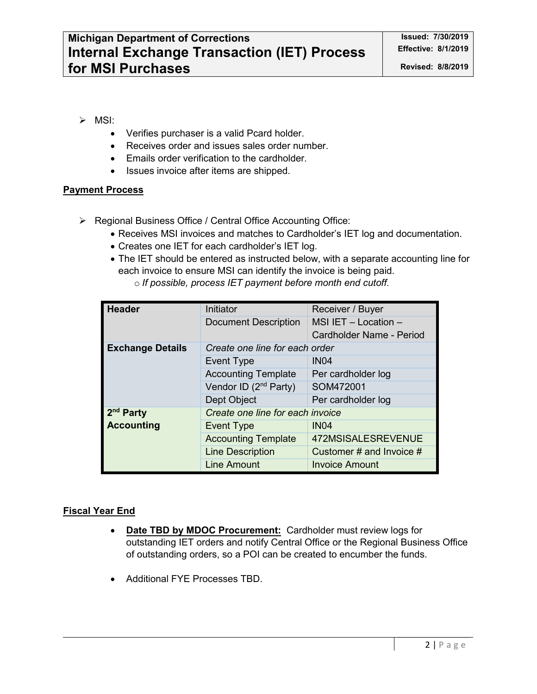- $\triangleright$  MSI:
	- Verifies purchaser is a valid Pcard holder.
	- Receives order and issues sales order number.
	- Emails order verification to the cardholder.
	- Issues invoice after items are shipped.

#### **Payment Process**

- ▶ Regional Business Office / Central Office Accounting Office:
	- Receives MSI invoices and matches to Cardholder's IET log and documentation.
	- Creates one IET for each cardholder's IET log.
	- The IET should be entered as instructed below, with a separate accounting line for each invoice to ensure MSI can identify the invoice is being paid. o *If possible, process IET payment before month end cutoff.*

| <b>Header</b>           | Initiator                         | Receiver / Buyer           |  |  |
|-------------------------|-----------------------------------|----------------------------|--|--|
|                         | <b>Document Description</b>       | MSI IET $-$ Location $-$   |  |  |
|                         |                                   | Cardholder Name - Period   |  |  |
| <b>Exchange Details</b> | Create one line for each order    |                            |  |  |
|                         | Event Type                        | IN <sub>04</sub>           |  |  |
|                         | <b>Accounting Template</b>        | Per cardholder log         |  |  |
|                         | Vendor ID (2 <sup>nd</sup> Party) | SOM472001                  |  |  |
|                         | Dept Object                       | Per cardholder log         |  |  |
| 2 <sup>nd</sup> Party   | Create one line for each invoice  |                            |  |  |
| <b>Accounting</b>       | <b>Event Type</b>                 | IN <sub>04</sub>           |  |  |
|                         | <b>Accounting Template</b>        | 472MSISALESREVENUE         |  |  |
|                         | <b>Line Description</b>           | Customer # and Invoice $#$ |  |  |
|                         | <b>Line Amount</b>                | <b>Invoice Amount</b>      |  |  |

#### **Fiscal Year End**

- **Date TBD by MDOC Procurement:** Cardholder must review logs for outstanding IET orders and notify Central Office or the Regional Business Office of outstanding orders, so a POI can be created to encumber the funds.
- Additional FYE Processes TBD.